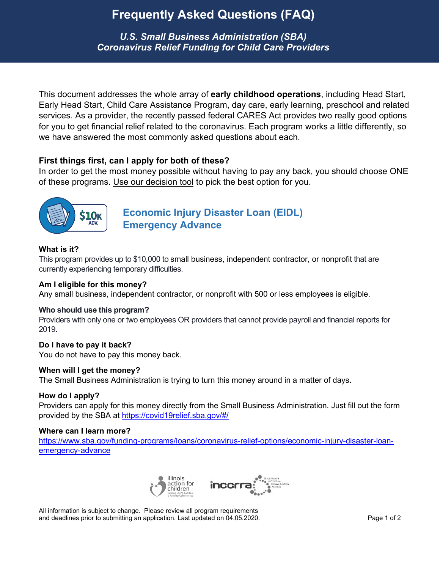## **Frequently Asked Questions (FAQ)**

*U.S. Small Business Administration (SBA) Coronavirus Relief Funding for Child Care Providers*

This document addresses the whole array of **early childhood operations**, including Head Start, Early Head Start, Child Care Assistance Program, day care, early learning, preschool and related services. As a provider, the recently passed federal CARES Act provides two really good options for you to get financial relief related to the coronavirus. Each program works a little differently, so we have answered the most commonly asked questions about each.

### **First things first, can I apply for both of these?**

In order to get the most money possible without having to pay any back, you should choose ONE of these programs. Use our decision tool to pick the best option for you.



**[Economic Injury Disaster Loan \(EIDL\)](https://www.sba.gov/funding-programs/loans/coronavirus-relief-options/economic-injury-disaster-loan-emergency-advance)  [Emergency Advance](https://www.sba.gov/funding-programs/loans/coronavirus-relief-options/economic-injury-disaster-loan-emergency-advance)**

### **What is it?**

This program provides up to \$10,000 to small business, independent contractor, or nonprofit that are currently experiencing temporary difficulties.

### **Am I eligible for this money?**

Any small business, independent contractor, or nonprofit with 500 or less employees is eligible.

### **Who should use this program?**

Providers with only one or two employees OR providers that cannot provide payroll and financial reports for 2019.

### **Do I have to pay it back?**

You do not have to pay this money back.

### **When will I get the money?**

The Small Business Administration is trying to turn this money around in a matter of days.

### **How do I apply?**

Providers can apply for this money directly from the Small Business Administration. Just fill out the form provided by the SBA at<https://covid19relief.sba.gov/#/>

### **Where can I learn more?**

[https://www.sba.gov/funding-programs/loans/coronavirus-relief-options/economic-injury-disaster-loan](https://www.sba.gov/funding-programs/loans/coronavirus-relief-options/economic-injury-disaster-loan-emergency-advance)[emergency-advance](https://www.sba.gov/funding-programs/loans/coronavirus-relief-options/economic-injury-disaster-loan-emergency-advance)



All information is subject to change. Please review all program requirements and deadlines prior to submitting an application. Last updated on 04.05.2020. Page 1 of 2